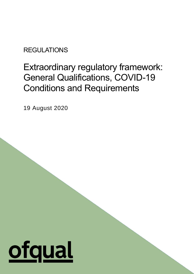**REGULATIONS** 

# Extraordinary regulatory framework: General Qualifications, COVID-19 Conditions and Requirements

 $\mathbf{r}$ 

19 August 2020

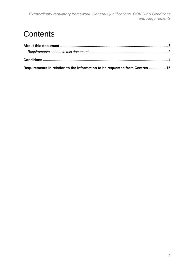## **Contents**

| Requirements in relation to the information to be requested from Centres 15 |  |
|-----------------------------------------------------------------------------|--|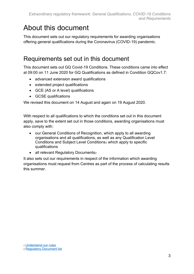## <span id="page-2-0"></span>About this document

This document sets out our regulatory requirements for awarding organisations offering general qualifications during the Coronavirus (COVID-19) pandemic.

### <span id="page-2-1"></span>Requirements set out in this document

This document sets out GQ Covid-19 Conditions. These conditions came into effect at 09:00 on 11 June 2020 for GQ Qualifications as defined in Condition GQCov1.7:

- advanced extension award qualifications
- extended project qualifications
- GCE (AS or A level) qualifications
- GCSE qualifications

We revised this document on 14 August and again on 19 August 2020.

With respect to all qualifications to which the conditions set out in this document apply, save to the extent set out in those conditions, awarding organisations must also comply with:

- our General Conditions of Recognition, which apply to all awarding organisations and all qualifications, as well as any Qualification Level Conditions and Subject Level Conditions<sup>1</sup> which apply to specific qualifications
- all relevant Regulatory Documents2

It also sets out our requirements in respect of the information which awarding organisations must request from Centres as part of the process of calculating results this summer.

<sup>1</sup> [Understand our rules](https://www.gov.uk/guidance/awarding-organisations-understanding-our-regulatory-requirements)

<sup>2</sup> [Regulatory Document list](https://www.gov.uk/guidance/regulatory-document-list)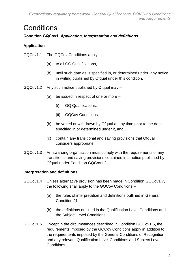### <span id="page-3-0"></span>**Conditions**

#### **Condition GQCov1** *Application, Interpretation and definitions*

#### **Application**

- GQCov1.1 The GQCov Conditions apply
	- (a) to all GQ Qualifications,
	- (b) until such date as is specified in, or determined under, any notice in writing published by Ofqual under this condition.
- GQCov1.2 Any such notice published by Ofqual may
	- (a) be issued in respect of one or more
		- (i) GQ Qualifications,
		- (ii) GQCov Conditions,
	- (b) be varied or withdrawn by Ofqual at any time prior to the date specified in or determined under it, and
	- (c) contain any transitional and saving provisions that Ofqual considers appropriate.
- GQCov1.3 An awarding organisation must comply with the requirements of any transitional and saving provisions contained in a notice published by Ofqual under Condition GQCov1.2.

#### **Interpretation and definitions**

- GQCov1.4 Unless alternative provision has been made in Condition GQCov1.7, the following shall apply to the GQCov Conditions –
	- (a) the rules of interpretation and definitions outlined in General Condition J1,
	- (b) the definitions outlined in the Qualification Level Conditions and the Subject Level Conditions.
- GQCov1.5 Except in the circumstances described in Condition GQCov1.6, the requirements imposed by the GQCov Conditions apply in addition to the requirements imposed by the General Conditions of Recognition and any relevant Qualification Level Conditions and Subject Level Conditions.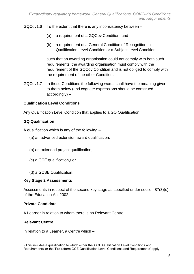GQCov1.6 To the extent that there is any inconsistency between –

- (a) a requirement of a GQCov Condition, and
- (b) a requirement of a General Condition of Recognition, a Qualification Level Condition or a Subject Level Condition,

such that an awarding organisation could not comply with both such requirements, the awarding organisation must comply with the requirement of the GQCov Condition and is not obliged to comply with the requirement of the other Condition.

GQCov1.7 In these Conditions the following words shall have the meaning given to them below (and cognate expressions should be construed accordingly) –

#### **Qualification Level Conditions**

Any Qualification Level Condition that applies to a GQ Qualification.

#### **GQ Qualification**

A qualification which is any of the following –

- (a) an advanced extension award qualification,
- (b) an extended project qualification,
- (c) a GCE qualification,<sup>3</sup> or
- (d) a GCSE Qualification.

#### **Key Stage 2 Assessments**

Assessments in respect of the second key stage as specified under section 87(3)(c) of the Education Act 2002.

#### **Private Candidate**

A Learner in relation to whom there is no Relevant Centre.

#### **Relevant Centre**

In relation to a Learner, a Centre which –

<sup>3</sup> This includes a qualification to which either the 'GCE Qualification Level Conditions and Requirements' or the 'Pre-reform GCE Qualification Level Conditions and Requirements' apply.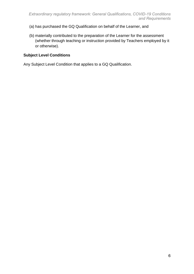- (a) has purchased the GQ Qualification on behalf of the Learner, and
- (b) materially contributed to the preparation of the Learner for the assessment (whether through teaching or instruction provided by Teachers employed by it or otherwise).

#### **Subject Level Conditions**

Any Subject Level Condition that applies to a GQ Qualification.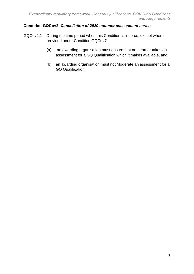#### **Condition GQCov2** *Cancellation of 2020 summer assessment series*

- GQCov2.1 During the time period when this Condition is in force, except where provided under Condition GQCov7 –
	- (a) an awarding organisation must ensure that no Learner takes an assessment for a GQ Qualification which it makes available, and
	- (b) an awarding organisation must not Moderate an assessment for a GQ Qualification.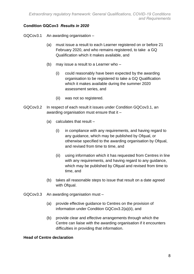#### **Condition GQCov3** *Results in 2020*

GQCov3.1 An awarding organisation –

- (a) must issue a result to each Learner registered on or before 21 February 2020, and who remains registered, to take a GQ Qualification which it makes available, and
- (b) may issue a result to a Learner who
	- (i) could reasonably have been expected by the awarding organisation to be registered to take a GQ Qualification which it makes available during the summer 2020 assessment series, and
	- (ii) was not so registered.
- GQCov3.2 In respect of each result it issues under Condition GQCov3.1, an awarding organisation must ensure that it –
	- (a) calculates that result
		- (i) in compliance with any requirements, and having regard to any guidance, which may be published by Ofqual, or otherwise specified to the awarding organisation by Ofqual, and revised from time to time, and
		- (ii) using information which it has requested from Centres in line with any requirements, and having regard to any guidance, which may be published by Ofqual and revised from time to time, and
	- (b) takes all reasonable steps to issue that result on a date agreed with Ofqual.
- GQCov3.3 An awarding organisation must
	- (a) provide effective guidance to Centres on the provision of information under Condition GQCov3.2(a)(ii), and
	- (b) provide clear and effective arrangements through which the Centre can liaise with the awarding organisation if it encounters difficulties in providing that information.

#### **Head of Centre declaration**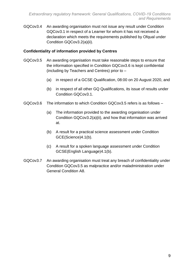GQCov3.4 An awarding organisation must not issue any result under Condition GQCov3.1 in respect of a Learner for whom it has not received a declaration which meets the requirements published by Ofqual under Condition GQCov3.2(a)(ii).

#### **Confidentiality of information provided by Centres**

- GQCov3.5 An awarding organisation must take reasonable steps to ensure that the information specified in Condition GQCov3.6 is kept confidential (including by Teachers and Centres) prior to –
	- (a) in respect of a GCSE Qualification, 08:00 on 20 August 2020, and
	- (b) in respect of all other GQ Qualifications, its issue of results under Condition GQCov3.1.
- GQCov3.6 The information to which Condition GQCov3.5 refers is as follows
	- (a) The information provided to the awarding organisation under Condition GQCov3.2(a)(ii), and how that information was arrived at.
	- (b) A result for a practical science assessment under Condition GCE(Science)4.1(b).
	- (c) A result for a spoken language assessment under Condition GCSE(English Language)4.1(b).
- GQCov3.7 An awarding organisation must treat any breach of confidentiality under Condition GQCov3.5 as malpractice and/or maladministration under General Condition A8.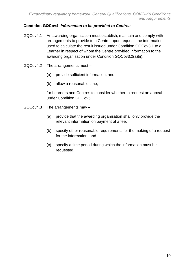#### **Condition GQCov4** *Information to be provided to Centres*

- GQCov4.1 An awarding organisation must establish, maintain and comply with arrangements to provide to a Centre, upon request, the information used to calculate the result issued under Condition GQCov3.1 to a Learner in respect of whom the Centre provided information to the awarding organisation under Condition GQCov3.2(a)(ii).
- GQCov4.2 The arrangements must
	- (a) provide sufficient information, and
	- (b) allow a reasonable time,

for Learners and Centres to consider whether to request an appeal under Condition GQCov5.

- GQCov4.3 The arrangements may
	- (a) provide that the awarding organisation shall only provide the relevant information on payment of a fee,
	- (b) specify other reasonable requirements for the making of a request for the information, and
	- (c) specify a time period during which the information must be requested.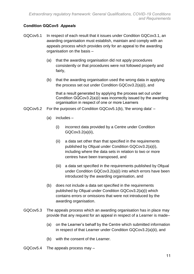#### **Condition GQCov5** *Appeals*

- GQCov5.1 In respect of each result that it issues under Condition GQCov3.1, an awarding organisation must establish, maintain and comply with an appeals process which provides only for an appeal to the awarding organisation on the basis –
	- (a) that the awarding organisation did not apply procedures consistently or that procedures were not followed properly and fairly,
	- (b) that the awarding organisation used the wrong data in applying the process set out under Condition GQCov3.2(a)(i), and

that a result generated by applying the process set out under Condition GQCov3.2(a)(i) was incorrectly issued by the awarding organisation in respect of one or more Learners

- GQCov5.2 For the purposes of Condition GQCov5.1(b), 'the wrong data'
	- (a) includes
		- (i) incorrect data provided by a Centre under Condition GQCov3.2(a)(ii),
		- (ii) a data set other than that specified in the requirements published by Ofqual under Condition GQCov3.2(a)(i), including where the data sets in relation to two or more centres have been transposed, and
		- (iii) a data set specified in the requirements published by Ofqual under Condition GQCov3.2(a)(i) into which errors have been introduced by the awarding organisation, and
	- (b) does not include a data set specified in the requirements published by Ofqual under Condition GQCov3.2(a)(i) which contains errors or omissions that were not introduced by the awarding organisation.
- GQCov5.3 The appeals process which an awarding organisation has in place may provide that any request for an appeal in respect of a Learner is made–
	- (a) on the Learner's behalf by the Centre which submitted information in respect of that Learner under Condition GQCov3.2(a)(ii), and
	- (b) with the consent of the Learner.
- GQCov5.4 The appeals process may –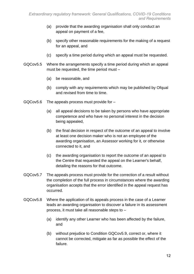- (a) provide that the awarding organisation shall only conduct an appeal on payment of a fee,
- (b) specify other reasonable requirements for the making of a request for an appeal, and
- (c) specify a time period during which an appeal must be requested.
- GQCov5.5 Where the arrangements specify a time period during which an appeal must be requested, the time period must –
	- (a) be reasonable, and
	- (b) comply with any requirements which may be published by Ofqual and revised from time to time.
- GQCov5.6 The appeals process must provide for
	- (a) all appeal decisions to be taken by persons who have appropriate competence and who have no personal interest in the decision being appealed,
	- (b) the final decision in respect of the outcome of an appeal to involve at least one decision maker who is not an employee of the awarding organisation, an Assessor working for it, or otherwise connected to it, and
	- (c) the awarding organisation to report the outcome of an appeal to the Centre that requested the appeal on the Learner's behalf, detailing the reasons for that outcome.
- GQCov5.7 The appeals process must provide for the correction of a result without the completion of the full process in circumstances where the awarding organisation accepts that the error identified in the appeal request has occurred.
- GQCov5.8 Where the application of its appeals process in the case of a Learner leads an awarding organisation to discover a failure in its assessment process, it must take all reasonable steps to –
	- (a) identify any other Learner who has been affected by the failure, and
	- (b) without prejudice to Condition GQCov5.9, correct or, where it cannot be corrected, mitigate as far as possible the effect of the failure.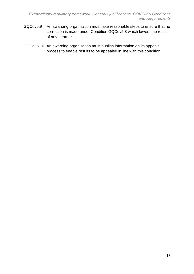- GQCov5.9 An awarding organisation must take reasonable steps to ensure that no correction is made under Condition GQCov5.8 which lowers the result of any Learner.
- GQCov5.10 An awarding organisation must publish information on its appeals process to enable results to be appealed in line with this condition.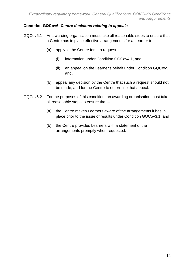#### **Condition GQCov6** *Centre decisions relating to appeals*

- GQCov6.1 An awarding organisation must take all reasonable steps to ensure that a Centre has in place effective arrangements for a Learner to ––
	- (a) apply to the Centre for it to request
		- (i) information under Condition GQCov4.1, and
		- (ii) an appeal on the Learner's behalf under Condition GQCov5, and,
	- (b) appeal any decision by the Centre that such a request should not be made, and for the Centre to determine that appeal.
- GQCov6.2 For the purposes of this condition, an awarding organisation must take all reasonable steps to ensure that –
	- (a) the Centre makes Learners aware of the arrangements it has in place prior to the issue of results under Condition GQCov3.1, and
	- (b) the Centre provides Learners with a statement of the arrangements promptly when requested.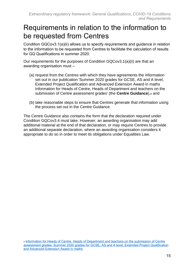### <span id="page-14-0"></span>Requirements in relation to the information to be requested from Centres

Condition GQCov3.1(a)(ii) allows us to specify requirements and guidance in relation to the information to be requested from Centres to facilitate the calculation of results for GQ Qualifications in summer 2020.

Our requirements for the purposes of Condition GQCov3.1(a)(ii) are that an awarding organisation must –

- (a) request from the Centres with which they have agreements the information set out in our publication 'Summer 2020 grades for GCSE, AS and A level, Extended Project Qualification and Advanced Extension Award in maths Information for Heads of Centre, Heads of Department and teachers on the submission of Centre assessment grades' (the **Centre Guidance**),<sup>4</sup> and
- (b) take reasonable steps to ensure that Centres generate that information using the process set out in the Centre Guidance.

The Centre Guidance also contains the form that the declaration required under Condition GQCov3.4 must take. However, an awarding organisation may add additional material at the end of that declaration, or may require Centres to provide an additional separate declaration, where an awarding organisation considers it appropriate to do so in order to meet its obligations under Equalities Law.

<sup>4</sup> [Information for Heads of Centre, Heads of Department and teachers on the submission of Centre](https://assets.publishing.service.gov.uk/government/uploads/system/uploads/attachment_data/file/887018/Summer_2020_Awarding_GCSEs_A_levels_-_Info_for_Heads_of_Centre_22MAY2020.pdf)  [assessment grades: Summer 2020 grades for GCSE, AS and A level, Extended Project Qualification](https://assets.publishing.service.gov.uk/government/uploads/system/uploads/attachment_data/file/887018/Summer_2020_Awarding_GCSEs_A_levels_-_Info_for_Heads_of_Centre_22MAY2020.pdf)  [and Advanced Extension Award in maths](https://assets.publishing.service.gov.uk/government/uploads/system/uploads/attachment_data/file/887018/Summer_2020_Awarding_GCSEs_A_levels_-_Info_for_Heads_of_Centre_22MAY2020.pdf)